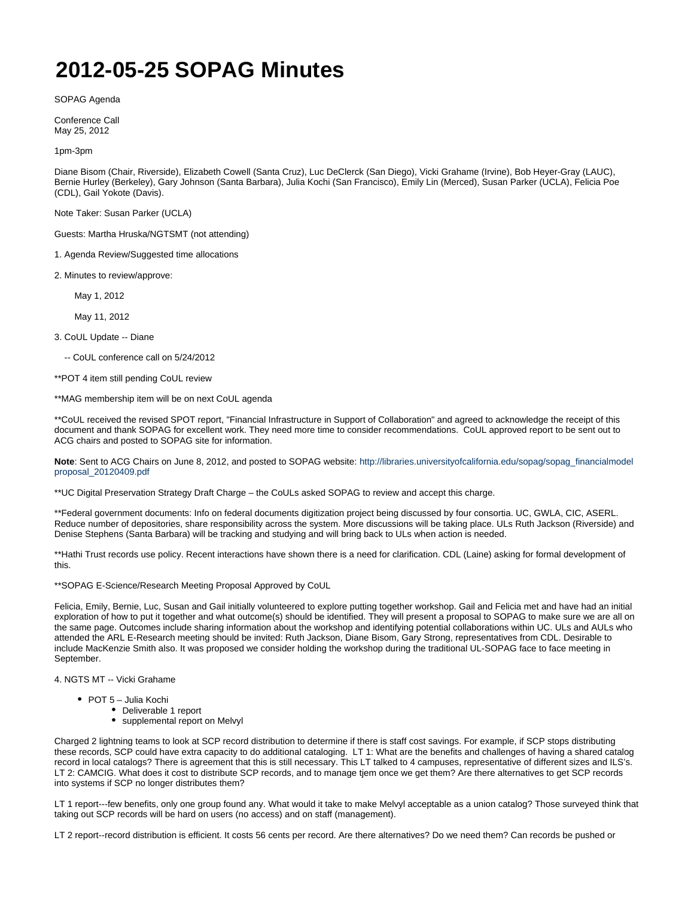## **2012-05-25 SOPAG Minutes**

SOPAG Agenda

Conference Call May 25, 2012

1pm-3pm

Diane Bisom (Chair, Riverside), Elizabeth Cowell (Santa Cruz), Luc DeClerck (San Diego), Vicki Grahame (Irvine), Bob Heyer-Gray (LAUC), Bernie Hurley (Berkeley), Gary Johnson (Santa Barbara), Julia Kochi (San Francisco), Emily Lin (Merced), Susan Parker (UCLA), Felicia Poe (CDL), Gail Yokote (Davis).

Note Taker: Susan Parker (UCLA)

Guests: Martha Hruska/NGTSMT (not attending)

1. Agenda Review/Suggested time allocations

2. Minutes to review/approve:

May 1, 2012

May 11, 2012

3. CoUL Update -- Diane

-- CoUL conference call on 5/24/2012

\*\*POT 4 item still pending CoUL review

\*\*MAG membership item will be on next CoUL agenda

\*\*CoUL received the revised SPOT report, "Financial Infrastructure in Support of Collaboration" and agreed to acknowledge the receipt of this document and thank SOPAG for excellent work. They need more time to consider recommendations. CoUL approved report to be sent out to ACG chairs and posted to SOPAG site for information.

Note: Sent to ACG Chairs on June 8, 2012, and posted to SOPAG website: [http://libraries.universityofcalifornia.edu/sopag/sopag\\_financialmodel](http://libraries.universityofcalifornia.edu/sopag/sopag_financialmodelproposal_20120409.pdf) [proposal\\_20120409.pdf](http://libraries.universityofcalifornia.edu/sopag/sopag_financialmodelproposal_20120409.pdf)

\*\*UC Digital Preservation Strategy Draft Charge – the CoULs asked SOPAG to review and accept this charge.

\*\*Federal government documents: Info on federal documents digitization project being discussed by four consortia. UC, GWLA, CIC, ASERL. Reduce number of depositories, share responsibility across the system. More discussions will be taking place. ULs Ruth Jackson (Riverside) and Denise Stephens (Santa Barbara) will be tracking and studying and will bring back to ULs when action is needed.

\*\*Hathi Trust records use policy. Recent interactions have shown there is a need for clarification. CDL (Laine) asking for formal development of this.

\*\*SOPAG E-Science/Research Meeting Proposal Approved by CoUL

Felicia, Emily, Bernie, Luc, Susan and Gail initially volunteered to explore putting together workshop. Gail and Felicia met and have had an initial exploration of how to put it together and what outcome(s) should be identified. They will present a proposal to SOPAG to make sure we are all on the same page. Outcomes include sharing information about the workshop and identifying potential collaborations within UC. ULs and AULs who attended the ARL E-Research meeting should be invited: Ruth Jackson, Diane Bisom, Gary Strong, representatives from CDL. Desirable to include MacKenzie Smith also. It was proposed we consider holding the workshop during the traditional UL-SOPAG face to face meeting in **September** 

4. NGTS MT -- Vicki Grahame

- POT 5 Julia Kochi
	- Deliverable 1 report
	- supplemental report on Melvyl

Charged 2 lightning teams to look at SCP record distribution to determine if there is staff cost savings. For example, if SCP stops distributing these records, SCP could have extra capacity to do additional cataloging. LT 1: What are the benefits and challenges of having a shared catalog record in local catalogs? There is agreement that this is still necessary. This LT talked to 4 campuses, representative of different sizes and ILS's. LT 2: CAMCIG. What does it cost to distribute SCP records, and to manage tjem once we get them? Are there alternatives to get SCP records into systems if SCP no longer distributes them?

LT 1 report---few benefits, only one group found any. What would it take to make Melvyl acceptable as a union catalog? Those surveyed think that taking out SCP records will be hard on users (no access) and on staff (management).

LT 2 report--record distribution is efficient. It costs 56 cents per record. Are there alternatives? Do we need them? Can records be pushed or